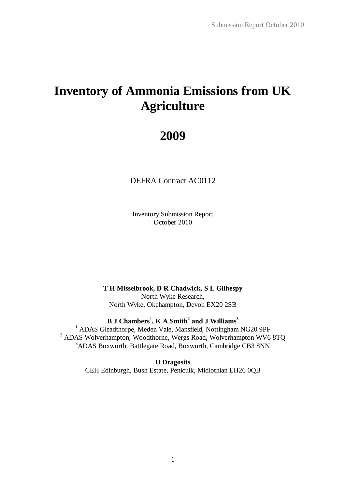# **Inventory of Ammonia Emissions from UK Agriculture**

# **2009**

DEFRA Contract AC0112

Inventory Submission Report October 2010

**T H Misselbrook, D R Chadwick, S L Gilhespy** North Wyke Research, North Wyke, Okehampton, Devon EX20 2SB

**B J Chambers** 1 **, K A Smith<sup>2</sup> and J Williams<sup>3</sup>**

<sup>1</sup> ADAS Gleadthorpe, Meden Vale, Mansfield, Nottingham NG20 9PF <sup>2</sup> ADAS Wolverhampton, Woodthorne, Wergs Road, Wolverhampton WV6 8TQ <sup>3</sup>ADAS Boxworth, Battlegate Road, Boxworth, Cambridge CB3 8NN

> **U Dragosits** CEH Edinburgh, Bush Estate, Penicuik, Midlothian EH26 0QB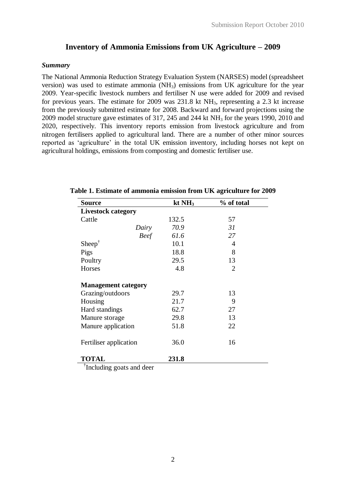# **Inventory of Ammonia Emissions from UK Agriculture – 2009**

### *Summary*

The National Ammonia Reduction Strategy Evaluation System (NARSES) model (spreadsheet version) was used to estimate ammonia  $(NH_3)$  emissions from UK agriculture for the year 2009. Year-specific livestock numbers and fertiliser N use were added for 2009 and revised for previous years. The estimate for 2009 was  $231.8$  kt NH<sub>3</sub>, representing a 2.3 kt increase from the previously submitted estimate for 2008. Backward and forward projections using the 2009 model structure gave estimates of 317, 245 and 244 kt  $NH_3$  for the years 1990, 2010 and 2020, respectively. This inventory reports emission from livestock agriculture and from nitrogen fertilisers applied to agricultural land. There are a number of other minor sources reported as 'agriculture' in the total UK emission inventory, including horses not kept on agricultural holdings, emissions from composting and domestic fertiliser use.

| <b>Source</b>              | kt $NH3$ | % of total     |
|----------------------------|----------|----------------|
| <b>Livestock category</b>  |          |                |
| Cattle                     | 132.5    | 57             |
| Dairy                      | 70.9     | 31             |
| <b>Beef</b>                | 61.6     | 27             |
| Sheep <sup>†</sup>         | 10.1     | 4              |
| Pigs                       | 18.8     | 8              |
| Poultry                    | 29.5     | 13             |
| Horses                     | 4.8      | $\overline{2}$ |
|                            |          |                |
| <b>Management category</b> |          |                |
| Grazing/outdoors           | 29.7     | 13             |
| Housing                    | 21.7     | 9              |
| Hard standings             | 62.7     | 27             |
| Manure storage             | 29.8     | 13             |
| Manure application         | 51.8     | 22             |
|                            |          |                |
| Fertiliser application     | 36.0     | 16             |
|                            |          |                |
| <b>TOTAL</b><br>÷÷.        | 231.8    |                |

**Table 1. Estimate of ammonia emission from UK agriculture for 2009**

† Including goats and deer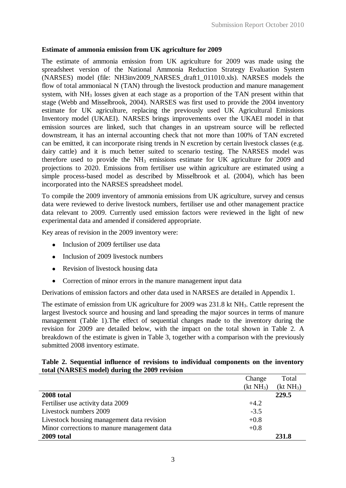## **Estimate of ammonia emission from UK agriculture for 2009**

The estimate of ammonia emission from UK agriculture for 2009 was made using the spreadsheet version of the National Ammonia Reduction Strategy Evaluation System (NARSES) model (file: NH3inv2009\_NARSES\_draft1\_011010.xls). NARSES models the flow of total ammoniacal N (TAN) through the livestock production and manure management system, with  $NH<sub>3</sub>$  losses given at each stage as a proportion of the TAN present within that stage (Webb and Misselbrook, 2004). NARSES was first used to provide the 2004 inventory estimate for UK agriculture, replacing the previously used UK Agricultural Emissions Inventory model (UKAEI). NARSES brings improvements over the UKAEI model in that emission sources are linked, such that changes in an upstream source will be reflected downstream, it has an internal accounting check that not more than 100% of TAN excreted can be emitted, it can incorporate rising trends in N excretion by certain livestock classes (e.g. dairy cattle) and it is much better suited to scenario testing. The NARSES model was therefore used to provide the  $NH<sub>3</sub>$  emissions estimate for UK agriculture for 2009 and projections to 2020. Emissions from fertiliser use within agriculture are estimated using a simple process-based model as described by Misselbrook et al. (2004), which has been incorporated into the NARSES spreadsheet model.

To compile the 2009 inventory of ammonia emissions from UK agriculture, survey and census data were reviewed to derive livestock numbers, fertiliser use and other management practice data relevant to 2009. Currently used emission factors were reviewed in the light of new experimental data and amended if considered appropriate.

Key areas of revision in the 2009 inventory were:

- Inclusion of 2009 fertiliser use data  $\bullet$
- Inclusion of 2009 livestock numbers
- Revision of livestock housing data
- Correction of minor errors in the manure management input data  $\bullet$

Derivations of emission factors and other data used in NARSES are detailed in Appendix 1.

The estimate of emission from UK agriculture for 2009 was 231.8 kt NH<sub>3</sub>. Cattle represent the largest livestock source and housing and land spreading the major sources in terms of manure management (Table 1).The effect of sequential changes made to the inventory during the revision for 2009 are detailed below, with the impact on the total shown in Table 2. A breakdown of the estimate is given in Table 3, together with a comparison with the previously submitted 2008 inventory estimate.

## **Table 2. Sequential influence of revisions to individual components on the inventory total (NARSES model) during the 2009 revision**

|                                             | Change                | Total                 |
|---------------------------------------------|-----------------------|-----------------------|
|                                             | (kt NH <sub>3</sub> ) | (kt NH <sub>3</sub> ) |
| 2008 total                                  |                       | 229.5                 |
| Fertiliser use activity data 2009           | $+4.2$                |                       |
| Livestock numbers 2009                      | $-3.5$                |                       |
| Livestock housing management data revision  | $+0.8$                |                       |
| Minor corrections to manure management data | $+0.8$                |                       |
| 2009 total                                  |                       | 231.8                 |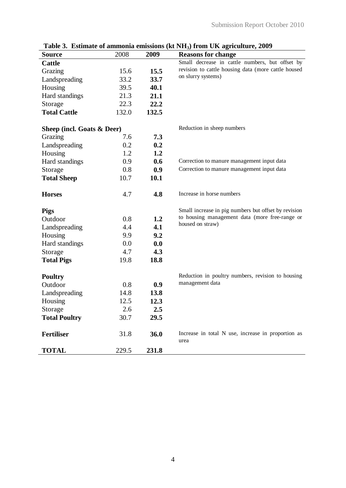| <b>Source</b>              | 2008  | 2009  | <b>Reasons for change</b>                                  |
|----------------------------|-------|-------|------------------------------------------------------------|
| <b>Cattle</b>              |       |       | Small decrease in cattle numbers, but offset by            |
| Grazing                    | 15.6  | 15.5  | revision to cattle housing data (more cattle housed        |
| Landspreading              | 33.2  | 33.7  | on slurry systems)                                         |
| Housing                    | 39.5  | 40.1  |                                                            |
| Hard standings             | 21.3  | 21.1  |                                                            |
| Storage                    | 22.3  | 22.2  |                                                            |
| <b>Total Cattle</b>        | 132.0 | 132.5 |                                                            |
| Sheep (incl. Goats & Deer) |       |       | Reduction in sheep numbers                                 |
| Grazing                    | 7.6   | 7.3   |                                                            |
| Landspreading              | 0.2   | 0.2   |                                                            |
| Housing                    | 1.2   | 1.2   |                                                            |
| Hard standings             | 0.9   | 0.6   | Correction to manure management input data                 |
| Storage                    | 0.8   | 0.9   | Correction to manure management input data                 |
| <b>Total Sheep</b>         | 10.7  | 10.1  |                                                            |
| <b>Horses</b>              | 4.7   | 4.8   | Increase in horse numbers                                  |
| <b>Pigs</b>                |       |       | Small increase in pig numbers but offset by revision       |
| Outdoor                    | 0.8   | 1.2   | to housing management data (more free-range or             |
| Landspreading              | 4.4   | 4.1   | housed on straw)                                           |
| Housing                    | 9.9   | 9.2   |                                                            |
| Hard standings             | 0.0   | 0.0   |                                                            |
| Storage                    | 4.7   | 4.3   |                                                            |
| <b>Total Pigs</b>          | 19.8  | 18.8  |                                                            |
| <b>Poultry</b>             |       |       | Reduction in poultry numbers, revision to housing          |
| Outdoor                    | 0.8   | 0.9   | management data                                            |
| Landspreading              | 14.8  | 13.8  |                                                            |
| Housing                    | 12.5  | 12.3  |                                                            |
| Storage                    | 2.6   | 2.5   |                                                            |
| <b>Total Poultry</b>       | 30.7  | 29.5  |                                                            |
| <b>Fertiliser</b>          | 31.8  | 36.0  | Increase in total N use, increase in proportion as<br>urea |
| <b>TOTAL</b>               | 229.5 | 231.8 |                                                            |

**Table 3. Estimate of ammonia emissions (kt NH3) from UK agriculture, 2009**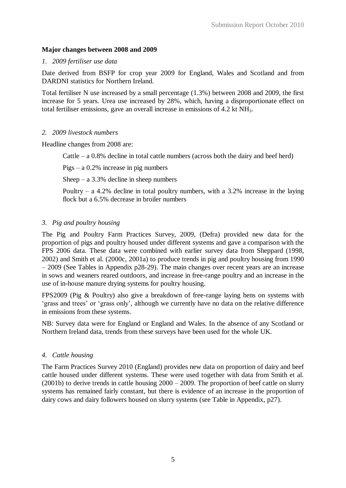## **Major changes between 2008 and 2009**

## *1. 2009 fertiliser use data*

Date derived from BSFP for crop year 2009 for England, Wales and Scotland and from DARDNI statistics for Northern Ireland.

Total fertiliser N use increased by a small percentage (1.3%) between 2008 and 2009, the first increase for 5 years. Urea use increased by 28%, which, having a disproportionate effect on total fertiliser emissions, gave an overall increase in emissions of 4.2 kt NH<sub>3</sub>.

## *2. 2009 livestock numbers*

Headline changes from 2008 are:

Cattle – a  $0.8\%$  decline in total cattle numbers (across both the dairy and beef herd)

Pigs – a 0.2% increase in pig numbers

Sheep – a  $3.3\%$  decline in sheep numbers

Poultry – a 4.2% decline in total poultry numbers, with a  $3.2\%$  increase in the laying flock but a 6.5% decrease in broiler numbers

## *3. Pig and poultry housing*

The Pig and Poultry Farm Practices Survey, 2009, (Defra) provided new data for the proportion of pigs and poultry housed under different systems and gave a comparison with the FPS 2006 data. These data were combined with earlier survey data from Sheppard (1998, 2002) and Smith et al. (2000c, 2001a) to produce trends in pig and poultry housing from 1990 – 2009 (See Tables in Appendix p28-29). The main changes over recent years are an increase in sows and weaners reared outdoors, and increase in free-range poultry and an increase in the use of in-house manure drying systems for poultry housing.

FPS2009 (Pig & Poultry) also give a breakdown of free-range laying hens on systems with 'grass and trees' or 'grass only', although we currently have no data on the relative difference in emissions from these systems.

NB: Survey data were for England or England and Wales. In the absence of any Scotland or Northern Ireland data, trends from these surveys have been used for the whole UK.

## *4. Cattle housing*

The Farm Practices Survey 2010 (England) provides new data on proportion of dairy and beef cattle housed under different systems. These were used together with data from Smith et al. (2001b) to derive trends in cattle housing 2000 – 2009. The proportion of beef cattle on slurry systems has remained fairly constant, but there is evidence of an increase in the proportion of dairy cows and dairy followers housed on slurry systems (see Table in Appendix, p27).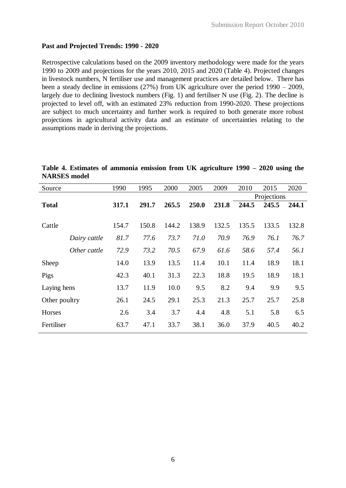## **Past and Projected Trends: 1990 - 2020**

Retrospective calculations based on the 2009 inventory methodology were made for the years 1990 to 2009 and projections for the years 2010, 2015 and 2020 (Table 4). Projected changes in livestock numbers, N fertiliser use and management practices are detailed below. There has been a steady decline in emissions (27%) from UK agriculture over the period 1990 – 2009, largely due to declining livestock numbers (Fig. 1) and fertiliser N use (Fig. 2). The decline is projected to level off, with an estimated 23% reduction from 1990-2020. These projections are subject to much uncertainty and further work is required to both generate more robust projections in agricultural activity data and an estimate of uncertainties relating to the assumptions made in deriving the projections.

|                     | Table 4. Estimates of ammonia emission from UK agriculture 1990 – 2020 using the |  |  |  |  |
|---------------------|----------------------------------------------------------------------------------|--|--|--|--|
| <b>NARSES</b> model |                                                                                  |  |  |  |  |

| Source        |              | 1990  | 1995  | 2000  | 2005  | 2009  | 2010  | 2015        | 2020  |
|---------------|--------------|-------|-------|-------|-------|-------|-------|-------------|-------|
|               |              |       |       |       |       |       |       | Projections |       |
| <b>Total</b>  |              | 317.1 | 291.7 | 265.5 | 250.0 | 231.8 | 244.5 | 245.5       | 244.1 |
|               |              |       |       |       |       |       |       |             |       |
| Cattle        |              | 154.7 | 150.8 | 144.2 | 138.9 | 132.5 | 135.5 | 133.5       | 132.8 |
|               | Dairy cattle | 81.7  | 77.6  | 73.7  | 71.0  | 70.9  | 76.9  | 76.1        | 76.7  |
|               | Other cattle | 72.9  | 73.2  | 70.5  | 67.9  | 61.6  | 58.6  | 57.4        | 56.1  |
| Sheep         |              | 14.0  | 13.9  | 13.5  | 11.4  | 10.1  | 11.4  | 18.9        | 18.1  |
| Pigs          |              | 42.3  | 40.1  | 31.3  | 22.3  | 18.8  | 19.5  | 18.9        | 18.1  |
| Laying hens   |              | 13.7  | 11.9  | 10.0  | 9.5   | 8.2   | 9.4   | 9.9         | 9.5   |
| Other poultry |              | 26.1  | 24.5  | 29.1  | 25.3  | 21.3  | 25.7  | 25.7        | 25.8  |
| Horses        |              | 2.6   | 3.4   | 3.7   | 4.4   | 4.8   | 5.1   | 5.8         | 6.5   |
| Fertiliser    |              | 63.7  | 47.1  | 33.7  | 38.1  | 36.0  | 37.9  | 40.5        | 40.2  |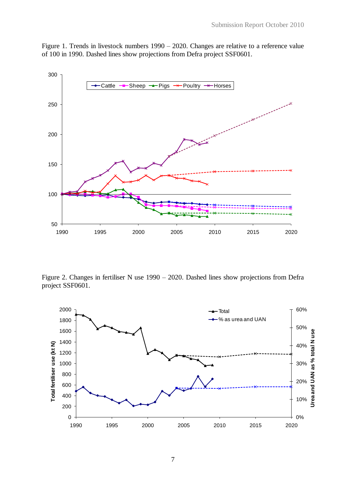



Figure 2. Changes in fertiliser N use 1990 – 2020. Dashed lines show projections from Defra project SSF0601.

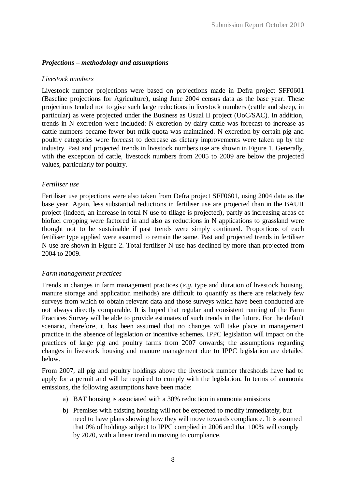## *Projections – methodology and assumptions*

#### *Livestock numbers*

Livestock number projections were based on projections made in Defra project SFF0601 (Baseline projections for Agriculture), using June 2004 census data as the base year. These projections tended not to give such large reductions in livestock numbers (cattle and sheep, in particular) as were projected under the Business as Usual II project (UoC/SAC). In addition, trends in N excretion were included: N excretion by dairy cattle was forecast to increase as cattle numbers became fewer but milk quota was maintained. N excretion by certain pig and poultry categories were forecast to decrease as dietary improvements were taken up by the industry. Past and projected trends in livestock numbers use are shown in Figure 1. Generally, with the exception of cattle, livestock numbers from 2005 to 2009 are below the projected values, particularly for poultry.

#### *Fertiliser use*

Fertiliser use projections were also taken from Defra project SFF0601, using 2004 data as the base year. Again, less substantial reductions in fertiliser use are projected than in the BAUII project (indeed, an increase in total N use to tillage is projected), partly as increasing areas of biofuel cropping were factored in and also as reductions in N applications to grassland were thought not to be sustainable if past trends were simply continued. Proportions of each fertiliser type applied were assumed to remain the same. Past and projected trends in fertiliser N use are shown in Figure 2. Total fertiliser N use has declined by more than projected from 2004 to 2009.

#### *Farm management practices*

Trends in changes in farm management practices (*e.g.* type and duration of livestock housing, manure storage and application methods) are difficult to quantify as there are relatively few surveys from which to obtain relevant data and those surveys which have been conducted are not always directly comparable. It is hoped that regular and consistent running of the Farm Practices Survey will be able to provide estimates of such trends in the future. For the default scenario, therefore, it has been assumed that no changes will take place in management practice in the absence of legislation or incentive schemes. IPPC legislation will impact on the practices of large pig and poultry farms from 2007 onwards; the assumptions regarding changes in livestock housing and manure management due to IPPC legislation are detailed below.

From 2007, all pig and poultry holdings above the livestock number thresholds have had to apply for a permit and will be required to comply with the legislation. In terms of ammonia emissions, the following assumptions have been made:

- a) BAT housing is associated with a 30% reduction in ammonia emissions
- b) Premises with existing housing will not be expected to modify immediately, but need to have plans showing how they will move towards compliance. It is assumed that 0% of holdings subject to IPPC complied in 2006 and that 100% will comply by 2020, with a linear trend in moving to compliance.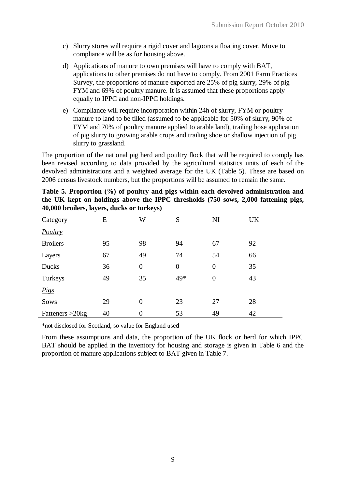- c) Slurry stores will require a rigid cover and lagoons a floating cover. Move to compliance will be as for housing above.
- d) Applications of manure to own premises will have to comply with BAT, applications to other premises do not have to comply. From 2001 Farm Practices Survey, the proportions of manure exported are 25% of pig slurry, 29% of pig FYM and 69% of poultry manure. It is assumed that these proportions apply equally to IPPC and non-IPPC holdings.
- e) Compliance will require incorporation within 24h of slurry, FYM or poultry manure to land to be tilled (assumed to be applicable for 50% of slurry, 90% of FYM and 70% of poultry manure applied to arable land), trailing hose application of pig slurry to growing arable crops and trailing shoe or shallow injection of pig slurry to grassland.

The proportion of the national pig herd and poultry flock that will be required to comply has been revised according to data provided by the agricultural statistics units of each of the devolved administrations and a weighted average for the UK (Table 5). These are based on 2006 census livestock numbers, but the proportions will be assumed to remain the same.

|                    | $\frac{1}{2}$ |                |                  |                |    |
|--------------------|---------------|----------------|------------------|----------------|----|
| Category           | E             | W              | S                | NI             | UK |
| <b>Poultry</b>     |               |                |                  |                |    |
| <b>Broilers</b>    | 95            | 98             | 94               | 67             | 92 |
| Layers             | 67            | 49             | 74               | 54             | 66 |
| Ducks              | 36            | $\overline{0}$ | $\boldsymbol{0}$ | $\overline{0}$ | 35 |
| Turkeys            | 49            | 35             | 49*              | $\overline{0}$ | 43 |
| <b>Pigs</b>        |               |                |                  |                |    |
| Sows               | 29            | $\overline{0}$ | 23               | 27             | 28 |
| Fatteners $>20$ kg | 40            | 0              | 53               | 49             | 42 |

| Table 5. Proportion (%) of poultry and pigs within each devolved administration and |
|-------------------------------------------------------------------------------------|
| the UK kept on holdings above the IPPC thresholds (750 sows, 2,000 fattening pigs,  |
| 40,000 broilers, layers, ducks or turkeys)                                          |

\*not disclosed for Scotland, so value for England used

From these assumptions and data, the proportion of the UK flock or herd for which IPPC BAT should be applied in the inventory for housing and storage is given in Table 6 and the proportion of manure applications subject to BAT given in Table 7.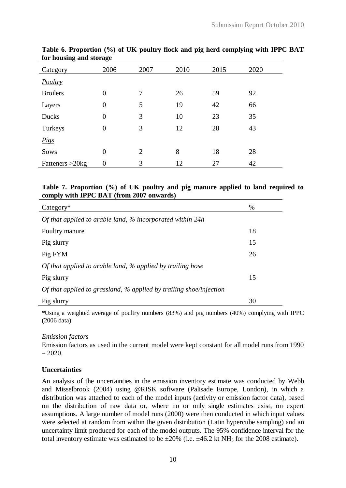| Category        | 2006             | 2007           | 2010 | 2015 | 2020 |
|-----------------|------------------|----------------|------|------|------|
| Poultry         |                  |                |      |      |      |
| <b>Broilers</b> | $\overline{0}$   | 7              | 26   | 59   | 92   |
| Layers          | $\overline{0}$   | 5              | 19   | 42   | 66   |
| Ducks           | $\overline{0}$   | 3              | 10   | 23   | 35   |
| Turkeys         | $\overline{0}$   | 3              | 12   | 28   | 43   |
| Pigs            |                  |                |      |      |      |
| Sows            | $\overline{0}$   | $\overline{2}$ | 8    | 18   | 28   |
| Fatteners >20kg | $\boldsymbol{0}$ | 3              | 12   | 27   | 42   |

**Table 6. Proportion (%) of UK poultry flock and pig herd complying with IPPC BAT for housing and storage**

### **Table 7. Proportion (%) of UK poultry and pig manure applied to land required to comply with IPPC BAT (from 2007 onwards)**

| $Category*$                                                        | $\%$ |
|--------------------------------------------------------------------|------|
| Of that applied to arable land, % incorporated within 24h          |      |
| Poultry manure                                                     | 18   |
| Pig slurry                                                         | 15   |
| Pig FYM                                                            | 26   |
| Of that applied to arable land, % applied by trailing hose         |      |
| Pig slurry                                                         | 15   |
| Of that applied to grassland, % applied by trailing shoe/injection |      |
| Pig slurry                                                         | 30   |

\*Using a weighted average of poultry numbers (83%) and pig numbers (40%) complying with IPPC (2006 data)

#### *Emission factors*

Emission factors as used in the current model were kept constant for all model runs from 1990  $-2020.$ 

#### **Uncertainties**

An analysis of the uncertainties in the emission inventory estimate was conducted by Webb and Misselbrook (2004) using @RISK software (Palisade Europe, London), in which a distribution was attached to each of the model inputs (activity or emission factor data), based on the distribution of raw data or, where no or only single estimates exist, on expert assumptions. A large number of model runs (2000) were then conducted in which input values were selected at random from within the given distribution (Latin hypercube sampling) and an uncertainty limit produced for each of the model outputs. The 95% confidence interval for the total inventory estimate was estimated to be  $\pm 20\%$  (i.e.  $\pm 46.2$  kt NH<sub>3</sub> for the 2008 estimate).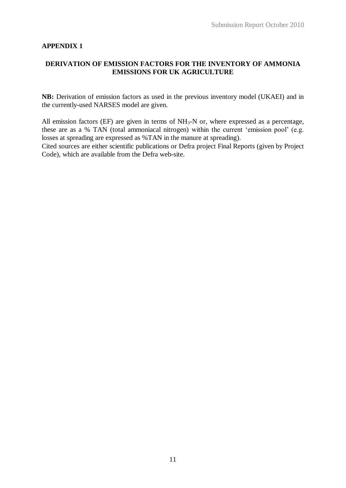## **APPENDIX 1**

## **DERIVATION OF EMISSION FACTORS FOR THE INVENTORY OF AMMONIA EMISSIONS FOR UK AGRICULTURE**

**NB:** Derivation of emission factors as used in the previous inventory model (UKAEI) and in the currently-used NARSES model are given.

All emission factors (EF) are given in terms of  $NH<sub>3</sub>-N$  or, where expressed as a percentage, these are as a % TAN (total ammoniacal nitrogen) within the current 'emission pool' (e.g. losses at spreading are expressed as %TAN in the manure at spreading).

Cited sources are either scientific publications or Defra project Final Reports (given by Project Code), which are available from the Defra web-site.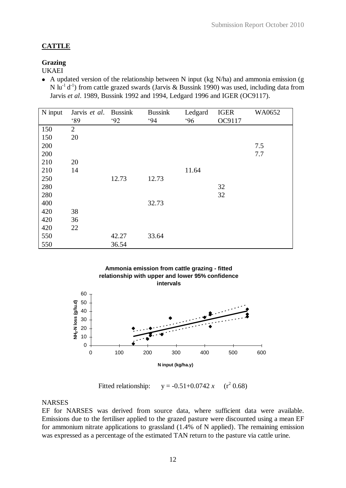# **CATTLE**

## **Grazing**

UKAEI

• A updated version of the relationship between N input (kg N/ha) and ammonia emission (g N lu<sup>-1</sup> d<sup>-1</sup>) from cattle grazed swards (Jarvis & Bussink 1990) was used, including data from Jarvis *et al*. 1989, Bussink 1992 and 1994, Ledgard 1996 and IGER (OC9117).

| N input | Jarvis et al.  | <b>Bussink</b> | <b>Bussink</b> | Ledgard | <b>IGER</b> | WA0652 |
|---------|----------------|----------------|----------------|---------|-------------|--------|
|         | 89             | 92             | 94             | 96      | OC9117      |        |
| 150     | $\overline{2}$ |                |                |         |             |        |
| 150     | 20             |                |                |         |             |        |
| 200     |                |                |                |         |             | 7.5    |
| 200     |                |                |                |         |             | 7.7    |
| 210     | 20             |                |                |         |             |        |
| 210     | 14             |                |                | 11.64   |             |        |
| 250     |                | 12.73          | 12.73          |         |             |        |
| 280     |                |                |                |         | 32          |        |
| 280     |                |                |                |         | 32          |        |
| 400     |                |                | 32.73          |         |             |        |
| 420     | 38             |                |                |         |             |        |
| 420     | 36             |                |                |         |             |        |
| 420     | 22             |                |                |         |             |        |
| 550     |                | 42.27          | 33.64          |         |             |        |
| 550     |                | 36.54          |                |         |             |        |



Fitted relationship:  $y = -0.51+0.0742 x$  $(r^2 0.68)$ 

## **NARSES**

EF for NARSES was derived from source data, where sufficient data were available. Emissions due to the fertiliser applied to the grazed pasture were discounted using a mean EF for ammonium nitrate applications to grassland (1.4% of N applied). The remaining emission was expressed as a percentage of the estimated TAN return to the pasture via cattle urine.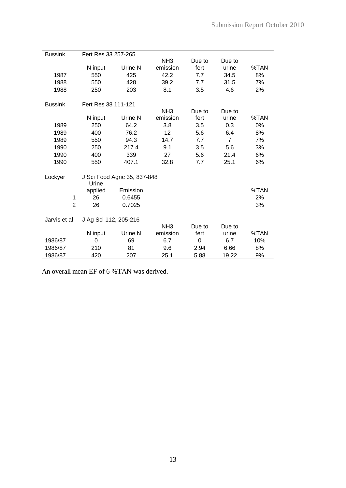| <b>Bussink</b> | Fert Res 33 257-265   |                              |                             |                |                 |      |
|----------------|-----------------------|------------------------------|-----------------------------|----------------|-----------------|------|
|                |                       |                              | NH <sub>3</sub>             | Due to         | Due to          |      |
|                | N input               | Urine N                      | emission                    | fert           | urine           | %TAN |
| 1987           | 550                   | 425                          | 42.2                        | 7.7            | 34.5            | 8%   |
| 1988           | 550                   | 428                          | 39.2                        | 7.7            | 31.5            | 7%   |
| 1988           | 250                   | 203                          | 8.1                         | 3.5            | 4.6             | 2%   |
|                |                       |                              |                             |                |                 |      |
| <b>Bussink</b> | Fert Res 38 111-121   |                              |                             |                |                 |      |
|                | N input               | Urine N                      | NH <sub>3</sub><br>emission | Due to<br>fert | Due to<br>urine | %TAN |
| 1989           | 250                   | 64.2                         | 3.8                         | 3.5            | 0.3             | 0%   |
|                | 400                   | 76.2                         | 12                          |                |                 | 8%   |
| 1989           |                       |                              |                             | 5.6            | 6.4             |      |
| 1989           | 550                   | 94.3                         | 14.7                        | 7.7            | $\overline{7}$  | 7%   |
| 1990           | 250                   | 217.4                        | 9.1                         | 3.5            | 5.6             | 3%   |
| 1990           | 400                   | 339                          | 27                          | 5.6            | 21.4            | 6%   |
| 1990           | 550                   | 407.1                        | 32.8                        | 7.7            | 25.1            | 6%   |
| Lockyer        |                       | J Sci Food Agric 35, 837-848 |                             |                |                 |      |
|                | Urine                 |                              |                             |                |                 |      |
|                | applied               | Emission                     |                             |                |                 | %TAN |
| 1              | 26                    | 0.6455                       |                             |                |                 | 2%   |
| $\overline{2}$ | 26                    | 0.7025                       |                             |                |                 | 3%   |
|                |                       |                              |                             |                |                 |      |
| Jarvis et al   | J Ag Sci 112, 205-216 |                              | NH <sub>3</sub>             | Due to         | Due to          |      |
|                | N input               | Urine N                      | emission                    | fert           | urine           | %TAN |
| 1986/87        | 0                     | 69                           | 6.7                         | 0              | 6.7             | 10%  |
|                |                       |                              |                             |                |                 |      |
| 1986/87        | 210                   | 81                           | 9.6                         | 2.94           | 6.66            | 8%   |
| 1986/87        | 420                   | 207                          | 25.1                        | 5.88           | 19.22           | 9%   |

An overall mean EF of 6 %TAN was derived.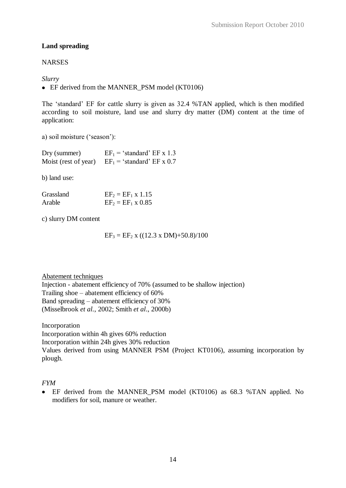# **Land spreading**

# **NARSES**

# *Slurry*

• EF derived from the MANNER PSM model (KT0106)

The 'standard' EF for cattle slurry is given as 32.4 %TAN applied, which is then modified according to soil moisture, land use and slurry dry matter (DM) content at the time of application:

a) soil moisture ('season'):

| Dry (summer) | $EF_1$ = 'standard' EF x 1.3                           |
|--------------|--------------------------------------------------------|
|              | Moist (rest of year) $EF_1 = 'standard' EF \times 0.7$ |

b) land use:

| Grassland | $EF_2 = EF_1 \times 1.15$ |
|-----------|---------------------------|
| Arable    | $EF_2 = EF_1 \times 0.85$ |

c) slurry DM content

 $EF_3 = EF_2$  x ((12.3 x DM)+50.8)/100

Abatement techniques

Injection - abatement efficiency of 70% (assumed to be shallow injection) Trailing shoe – abatement efficiency of 60% Band spreading – abatement efficiency of 30% (Misselbrook *et al.*, 2002; Smith *et al*., 2000b)

Incorporation Incorporation within 4h gives 60% reduction Incorporation within 24h gives 30% reduction Values derived from using MANNER PSM (Project KT0106), assuming incorporation by plough.

*FYM*

EF derived from the MANNER\_PSM model (KT0106) as 68.3 %TAN applied. No modifiers for soil, manure or weather.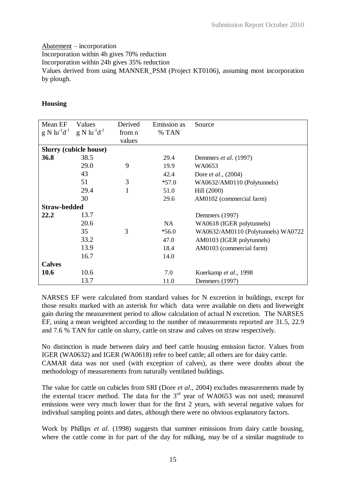# Abatement – incorporation

Incorporation within 4h gives 70% reduction

Incorporation within 24h gives 35% reduction

Values derived from using MANNER\_PSM (Project KT0106), assuming most incorporation by plough.

# **Housing**

| Mean EF<br>$g N lu^{-1}d^{-1}$ | Values<br>$g \mathrm{N} \mathrm{lu}^{-1} \mathrm{d}^{-1}$ | Derived<br>from n<br>values | Emission as<br>% TAN | Source                             |
|--------------------------------|-----------------------------------------------------------|-----------------------------|----------------------|------------------------------------|
|                                | <b>Slurry (cubicle house)</b>                             |                             |                      |                                    |
| 36.8                           | 38.5                                                      |                             |                      |                                    |
|                                |                                                           |                             | 29.4                 | Demmers et al. (1997)              |
|                                | 29.0                                                      | 9                           | 19.9                 | WA0653                             |
|                                | 43                                                        |                             | 42.4                 | Dore <i>et al.</i> , (2004)        |
|                                | 51                                                        | 3                           | $*57.0$              | WA0632/AM0110 (Polytunnels)        |
|                                | 29.4                                                      | $\mathbf{1}$                | 51.0                 | Hill (2000)                        |
|                                | 30                                                        |                             | 29.6                 | AM0102 (commercial farm)           |
| <b>Straw-bedded</b>            |                                                           |                             |                      |                                    |
| 22.2                           | 13.7                                                      |                             |                      | Demmers (1997)                     |
|                                | 20.6                                                      |                             | <b>NA</b>            | WA0618 (IGER polytunnels)          |
|                                | 35                                                        | 3                           | $*56.0$              | WA0632/AM0110 (Polytunnels) WA0722 |
|                                | 33.2                                                      |                             | 47.0                 | AM0103 (IGER polytunnels)          |
|                                | 13.9                                                      |                             | 18.4                 | AM0103 (commercial farm)           |
|                                | 16.7                                                      |                             | 14.0                 |                                    |
| <b>Calves</b>                  |                                                           |                             |                      |                                    |
| 10.6                           | 10.6                                                      |                             | 7.0                  | Koerkamp et al., 1998              |
|                                | 13.7                                                      |                             | 11.0                 | Demmers (1997)                     |

NARSES EF were calculated from standard values for N excretion in buildings, except for those results marked with an asterisk for which data were available on diets and liveweight gain during the measurement period to allow calculation of actual N excretion. The NARSES EF, using a mean weighted according to the number of measurements reported are 31.5, 22.9 and 7.6 % TAN for cattle on slurry, cattle on straw and calves on straw respectively.

No distinction is made between dairy and beef cattle housing emission factor. Values from IGER (WA0632) and IGER (WA0618) refer to beef cattle; all others are for dairy cattle. CAMAR data was not used (with exception of calves), as there were doubts about the methodology of measurements from naturally ventilated buildings.

The value for cattle on cubicles from SRI (Dore *et al*., 2004) excludes measurements made by the external tracer method. The data for the  $3<sup>rd</sup>$  year of WA0653 was not used; measured emissions were very much lower than for the first 2 years, with several negative values for individual sampling points and dates, although there were no obvious explanatory factors.

Work by Phillips *et al*. (1998) suggests that summer emissions from dairy cattle housing, where the cattle come in for part of the day for milking, may be of a similar magnitude to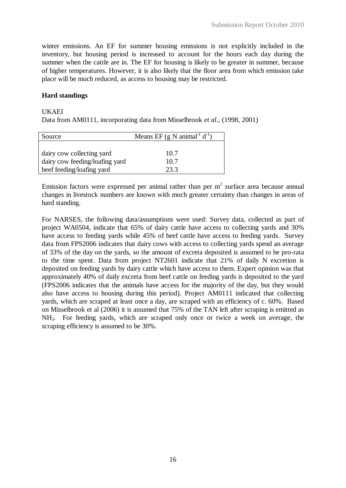winter emissions. An EF for summer housing emissions is not explicitly included in the inventory, but housing period is increased to account for the hours each day during the summer when the cattle are in. The EF for housing is likely to be greater in summer, because of higher temperatures. However, it is also likely that the floor area from which emission take place will be much reduced, as access to housing may be restricted.

## **Hard standings**

#### UKAEI

Data from AM0111, incorporating data from Misselbrook *et al*., (1998, 2001)

| Source                         | Means EF $(g \text{ N animal}^{-1} d^{-1})$ |  |  |  |
|--------------------------------|---------------------------------------------|--|--|--|
|                                |                                             |  |  |  |
| dairy cow collecting yard      | 10.7                                        |  |  |  |
| dairy cow feeding/loafing yard | 10.7                                        |  |  |  |
| beef feeding/loafing yard      | 23.3                                        |  |  |  |

Emission factors were expressed per animal rather than per  $m<sup>2</sup>$  surface area because annual changes in livestock numbers are known with much greater certainty than changes in areas of hard standing.

For NARSES, the following data/assumptions were used: Survey data, collected as part of project WA0504, indicate that 65% of dairy cattle have access to collecting yards and 30% have access to feeding yards while 45% of beef cattle have access to feeding yards. Survey data from FPS2006 indicates that dairy cows with access to collecting yards spend an average of 33% of the day on the yards, so the amount of excreta deposited is assumed to be pro-rata to the time spent. Data from project NT2601 indicate that 21% of daily N excretion is deposited on feeding yards by dairy cattle which have access to them. Expert opinion was that approximately 40% of daily excreta from beef cattle on feeding yards is deposited to the yard (FPS2006 indicates that the animals have access for the majority of the day, but they would also have access to housing during this period). Project AM0111 indicated that collecting yards, which are scraped at least once a day, are scraped with an efficiency of c. 60%. Based on Misselbrook et al (2006) it is assumed that 75% of the TAN left after scraping is emitted as NH3. For feeding yards, which are scraped only once or twice a week on average, the scraping efficiency is assumed to be 30%.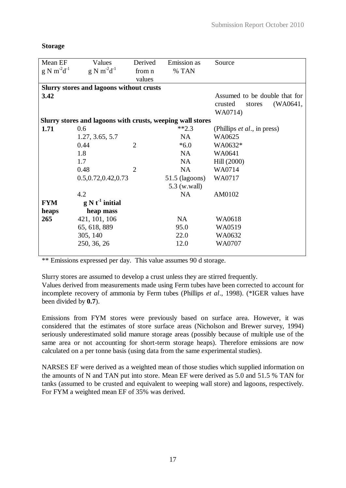| Mean EF          | Values                                                     | Derived        | Emission as      | Source                              |
|------------------|------------------------------------------------------------|----------------|------------------|-------------------------------------|
| $g N m^2 d^{-1}$ | $g N m^2 d^{-1}$                                           | from n         | % TAN            |                                     |
|                  |                                                            | values         |                  |                                     |
|                  | <b>Slurry stores and lagoons without crusts</b>            |                |                  |                                     |
| 3.42             |                                                            |                |                  | Assumed to be double that for       |
|                  |                                                            |                |                  | (WA0641,<br>crusted<br>stores       |
|                  |                                                            |                |                  | WA0714)                             |
|                  | Slurry stores and lagoons with crusts, weeping wall stores |                |                  |                                     |
| 1.71             | 0.6                                                        |                | $**2.3$          | (Phillips <i>et al.</i> , in press) |
|                  | 1.27, 3.65, 5.7                                            |                | NA               | WA0625                              |
|                  | 0.44                                                       | $\overline{2}$ | $*6.0$           | WA0632*                             |
|                  | 1.8                                                        |                | <b>NA</b>        | WA0641                              |
|                  | 1.7                                                        |                | NA               | Hill (2000)                         |
|                  | 0.48                                                       | $\overline{2}$ | NA               | WA0714                              |
|                  | 0.5, 0.72, 0.42, 0.73                                      |                | $51.5$ (lagoons) | WA0717                              |
|                  |                                                            |                | 5.3 (w.wall)     |                                     |
|                  | 4.2                                                        |                | NA               | AM0102                              |
| <b>FYM</b>       | $g N t-1$ initial                                          |                |                  |                                     |
| heaps            | heap mass                                                  |                |                  |                                     |
| 265              | 421, 101, 106                                              |                | NA               | WA0618                              |
|                  | 65, 618, 889                                               |                | 95.0             | WA0519                              |
|                  | 305, 140                                                   |                | 22.0             | WA0632                              |
|                  | 250, 36, 26                                                |                | 12.0             | WA0707                              |
|                  |                                                            |                |                  |                                     |

### **Storage**

\*\* Emissions expressed per day. This value assumes 90 d storage.

Slurry stores are assumed to develop a crust unless they are stirred frequently.

Values derived from measurements made using Ferm tubes have been corrected to account for incomplete recovery of ammonia by Ferm tubes (Phillips *et al*., 1998). (\*IGER values have been divided by **0.7**).

Emissions from FYM stores were previously based on surface area. However, it was considered that the estimates of store surface areas (Nicholson and Brewer survey, 1994) seriously underestimated solid manure storage areas (possibly because of multiple use of the same area or not accounting for short-term storage heaps). Therefore emissions are now calculated on a per tonne basis (using data from the same experimental studies).

NARSES EF were derived as a weighted mean of those studies which supplied information on the amounts of N and TAN put into store. Mean EF were derived as 5.0 and 51.5 % TAN for tanks (assumed to be crusted and equivalent to weeping wall store) and lagoons, respectively. For FYM a weighted mean EF of 35% was derived.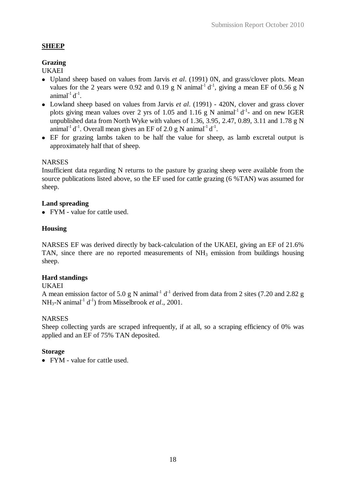## **SHEEP**

# **Grazing**

UKAEI

- Upland sheep based on values from Jarvis *et al*. (1991) 0N, and grass/clover plots. Mean values for the 2 years were 0.92 and 0.19 g N animal<sup>-1</sup>  $d^{-1}$ , giving a mean EF of 0.56 g N animal $1^1 d^{-1}$ .
- Lowland sheep based on values from Jarvis *et al*. (1991) 420N, clover and grass clover plots giving mean values over 2 yrs of 1.05 and 1.16 g N animal<sup>-1</sup>  $d^{-1}$ - and on new IGER unpublished data from North Wyke with values of 1.36, 3.95, 2.47, 0.89, 3.11 and 1.78 g N animal<sup>-1</sup> d<sup>-1</sup>. Overall mean gives an EF of 2.0 g N animal<sup>-1</sup> d<sup>-1</sup>.
- EF for grazing lambs taken to be half the value for sheep, as lamb excretal output is approximately half that of sheep.

## **NARSES**

Insufficient data regarding N returns to the pasture by grazing sheep were available from the source publications listed above, so the EF used for cattle grazing (6 %TAN) was assumed for sheep.

## **Land spreading**

• FYM - value for cattle used.

## **Housing**

NARSES EF was derived directly by back-calculation of the UKAEI, giving an EF of 21.6% TAN, since there are no reported measurements of  $NH<sub>3</sub>$  emission from buildings housing sheep.

## **Hard standings**

## UKAEI

A mean emission factor of 5.0 g N animal<sup>-1</sup>  $d^{-1}$  derived from data from 2 sites (7.20 and 2.82 g  $NH_3-N$  animal<sup>-1</sup> d<sup>-1</sup>) from Misselbrook *et al.*, 2001.

## **NARSES**

Sheep collecting vards are scraped infrequently, if at all, so a scraping efficiency of 0% was applied and an EF of 75% TAN deposited.

## **Storage**

• FYM - value for cattle used.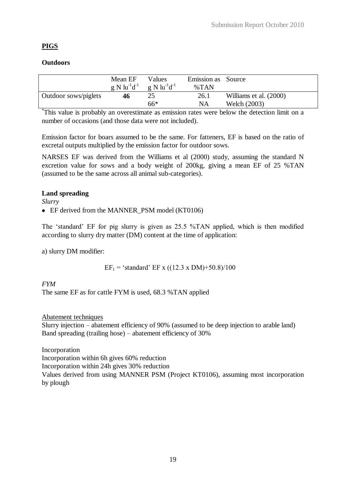# **PIGS**

# **Outdoors**

|                      | Mean EF<br>$g N l u^{-1} d^{-1}$ | Values<br>$g \mathrm{N}$ lu <sup>-1</sup> d <sup>-1</sup> | Emission as Source<br>$\%$ TAN |                        |
|----------------------|----------------------------------|-----------------------------------------------------------|--------------------------------|------------------------|
| Outdoor sows/piglets | 46                               | 25                                                        | 26.1                           | Williams et al. (2000) |
|                      |                                  | $66*$                                                     | NA                             | Welch (2003)           |

\* This value is probably an overestimate as emission rates were below the detection limit on a number of occasions (and those data were not included).

Emission factor for boars assumed to be the same. For fatteners, EF is based on the ratio of excretal outputs multiplied by the emission factor for outdoor sows.

NARSES EF was derived from the Williams et al (2000) study, assuming the standard N excretion value for sows and a body weight of 200kg, giving a mean EF of 25 %TAN (assumed to be the same across all animal sub-categories).

## **Land spreading**

*Slurry*

• EF derived from the MANNER\_PSM model (KT0106)

The 'standard' EF for pig slurry is given as 25.5 %TAN applied, which is then modified according to slurry dry matter (DM) content at the time of application:

a) slurry DM modifier:

 $EF_1$  = 'standard' EF x ((12.3 x DM)+50.8)/100

*FYM*

The same EF as for cattle FYM is used, 68.3 %TAN applied

## Abatement techniques

Slurry injection – abatement efficiency of 90% (assumed to be deep injection to arable land) Band spreading (trailing hose) – abatement efficiency of 30%

Incorporation Incorporation within 6h gives 60% reduction Incorporation within 24h gives 30% reduction Values derived from using MANNER PSM (Project KT0106), assuming most incorporation by plough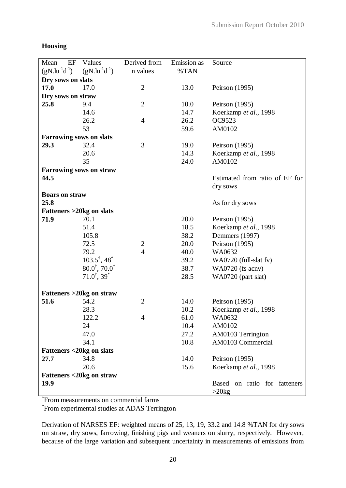# **Housing**

| Mean<br>EF                         | Values                                                  | Derived from   | Emission as | Source                                   |
|------------------------------------|---------------------------------------------------------|----------------|-------------|------------------------------------------|
| $(gN.lu^{-1}d^{-1})$               | $(gN.lu^{-1}d^{-1})$                                    | n values       | %TAN        |                                          |
| Dry sows on slats                  |                                                         |                |             |                                          |
| 17.0                               | 17.0                                                    | $\overline{2}$ | 13.0        | Peirson (1995)                           |
| Dry sows on straw                  |                                                         |                |             |                                          |
| 25.8                               | 9.4                                                     | $\overline{2}$ | 10.0        | Peirson (1995)                           |
|                                    | 14.6                                                    |                | 14.7        | Koerkamp et al., 1998                    |
|                                    | 26.2                                                    | $\overline{4}$ | 26.2        | OC9523                                   |
|                                    | 53                                                      |                | 59.6        | AM0102                                   |
| <b>Farrowing sows on slats</b>     |                                                         |                |             |                                          |
| 29.3                               | 32.4                                                    | 3              | 19.0        | Peirson (1995)                           |
|                                    | 20.6                                                    |                | 14.3        | Koerkamp et al., 1998                    |
|                                    | 35                                                      |                | 24.0        | AM0102                                   |
|                                    | <b>Farrowing sows on straw</b>                          |                |             |                                          |
| 44.5                               |                                                         |                |             | Estimated from ratio of EF for           |
|                                    |                                                         |                |             | dry sows                                 |
| <b>Boars on straw</b>              |                                                         |                |             |                                          |
| 25.8                               |                                                         |                |             | As for dry sows                          |
| <b>Fatteners &gt;20kg on slats</b> |                                                         |                |             |                                          |
| 71.9                               | 70.1                                                    |                | 20.0        | Peirson (1995)                           |
|                                    | 51.4                                                    |                | 18.5        | Koerkamp et al., 1998                    |
|                                    | 105.8                                                   |                | 38.2        | Demmers (1997)                           |
|                                    | 72.5                                                    | $\overline{c}$ | 20.0        | Peirson (1995)                           |
|                                    | 79.2                                                    | $\overline{4}$ | 40.0        | WA0632                                   |
|                                    | $103.5^{\dagger}$ , 48 <sup>*</sup>                     |                | 39.2        | WA0720 (full-slat fv)                    |
|                                    | $80.0^{\dagger}$ , 70.0 <sup><math>\dagger</math></sup> |                | 38.7        | WA0720 (fs acnv)                         |
|                                    | $71.0^{\dagger}, 39^{\dagger}$                          |                | 28.5        | WA0720 (part slat)                       |
|                                    | <b>Fatteners &gt;20kg on straw</b>                      |                |             |                                          |
| 51.6                               | 54.2                                                    | $\overline{2}$ | 14.0        | Peirson (1995)                           |
|                                    | 28.3                                                    |                | 10.2        | Koerkamp et al., 1998                    |
|                                    | 122.2                                                   | 4              | 61.0        | WA0632                                   |
|                                    | 24                                                      |                | 10.4        | AM0102                                   |
|                                    | 47.0                                                    |                | 27.2        | AM0103 Terrington                        |
|                                    | 34.1                                                    |                | 10.8        | AM0103 Commercial                        |
| Fatteners <20kg on slats           |                                                         |                |             |                                          |
| 27.7                               | 34.8                                                    |                | 14.0        | Peirson (1995)                           |
|                                    | 20.6                                                    |                | 15.6        | Koerkamp et al., 1998                    |
|                                    | <b>Fatteners &lt;20kg on straw</b>                      |                |             |                                          |
| 19.9                               |                                                         |                |             | Based on ratio for fatteners<br>$>20$ kg |

† From measurements on commercial farms

\* From experimental studies at ADAS Terrington

Derivation of NARSES EF: weighted means of 25, 13, 19, 33.2 and 14.8 %TAN for dry sows on straw, dry sows, farrowing, finishing pigs and weaners on slurry, respectively. However, because of the large variation and subsequent uncertainty in measurements of emissions from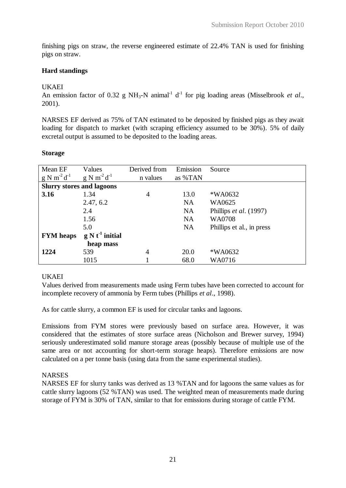finishing pigs on straw, the reverse engineered estimate of 22.4% TAN is used for finishing pigs on straw.

# **Hard standings**

# UKAEI

An emission factor of 0.32 g NH<sub>3</sub>-N animal<sup>-1</sup> d<sup>-1</sup> for pig loading areas (Misselbrook *et al.*, 2001).

NARSES EF derived as 75% of TAN estimated to be deposited by finished pigs as they await loading for dispatch to market (with scraping efficiency assumed to be 30%). 5% of daily excretal output is assumed to be deposited to the loading areas.

## **Storage**

| Mean EF<br>$g N m^2 d^{-1}$      | Values<br>$g N m^2 d^1$ | Derived from<br>n values | Emission<br>as %TAN | Source                    |
|----------------------------------|-------------------------|--------------------------|---------------------|---------------------------|
| <b>Slurry stores and lagoons</b> |                         |                          |                     |                           |
| 3.16                             | 1.34                    | $\overline{4}$           | 13.0                | *WA0632                   |
|                                  | 2.47, 6.2               |                          | <b>NA</b>           | WA0625                    |
|                                  | 2.4                     |                          | <b>NA</b>           | Phillips et al. (1997)    |
|                                  | 1.56                    |                          | <b>NA</b>           | WA0708                    |
|                                  | 5.0                     |                          | <b>NA</b>           | Phillips et al., in press |
| <b>FYM</b> heaps                 | $g N t-1$ initial       |                          |                     |                           |
|                                  | heap mass               |                          |                     |                           |
| 1224                             | 539                     | 4                        | 20.0                | *WA0632                   |
|                                  | 1015                    |                          | 68.0                | WA0716                    |

## UKAEI

Values derived from measurements made using Ferm tubes have been corrected to account for incomplete recovery of ammonia by Ferm tubes (Phillips *et al*., 1998).

As for cattle slurry, a common EF is used for circular tanks and lagoons.

Emissions from FYM stores were previously based on surface area. However, it was considered that the estimates of store surface areas (Nicholson and Brewer survey, 1994) seriously underestimated solid manure storage areas (possibly because of multiple use of the same area or not accounting for short-term storage heaps). Therefore emissions are now calculated on a per tonne basis (using data from the same experimental studies).

## NARSES

NARSES EF for slurry tanks was derived as 13 %TAN and for lagoons the same values as for cattle slurry lagoons (52 %TAN) was used. The weighted mean of measurements made during storage of FYM is 30% of TAN, similar to that for emissions during storage of cattle FYM.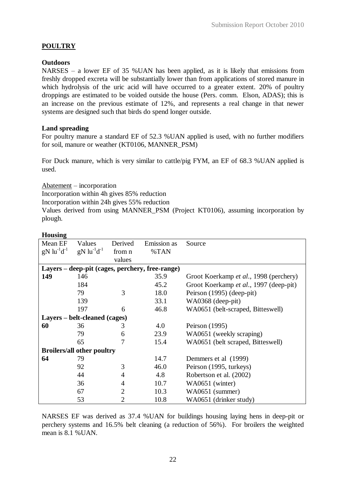# **POULTRY**

## **Outdoors**

NARSES – a lower EF of 35 %UAN has been applied, as it is likely that emissions from freshly dropped excreta will be substantially lower than from applications of stored manure in which hydrolysis of the uric acid will have occurred to a greater extent. 20% of poultry droppings are estimated to be voided outside the house (Pers. comm. Elson, ADAS); this is an increase on the previous estimate of 12%, and represents a real change in that newer systems are designed such that birds do spend longer outside.

## **Land spreading**

For poultry manure a standard EF of 52.3 %UAN applied is used, with no further modifiers for soil, manure or weather (KT0106, MANNER\_PSM)

For Duck manure, which is very similar to cattle/pig FYM, an EF of 68.3 %UAN applied is used.

Abatement – incorporation

Incorporation within 4h gives 85% reduction

Incorporation within 24h gives 55% reduction

Values derived from using MANNER\_PSM (Project KT0106), assuming incorporation by plough.

**Housing**

| почынд                                |                                       |                |                                                 |                                        |
|---------------------------------------|---------------------------------------|----------------|-------------------------------------------------|----------------------------------------|
| Mean EF                               | Values                                | Derived        | Emission as                                     | Source                                 |
| $gN$ lu <sup>-1</sup> d <sup>-1</sup> | $gN$ lu <sup>-1</sup> d <sup>-1</sup> | from n         | %TAN                                            |                                        |
|                                       |                                       | values         |                                                 |                                        |
|                                       |                                       |                | Layers - deep-pit (cages, perchery, free-range) |                                        |
| 149                                   | 146                                   |                | 35.9                                            | Groot Koerkamp et al., 1998 (perchery) |
|                                       | 184                                   |                | 45.2                                            | Groot Koerkamp et al., 1997 (deep-pit) |
|                                       | 79                                    | 3              | 18.0                                            | Peirson (1995) (deep-pit)              |
|                                       | 139                                   |                | 33.1                                            | WA0368 (deep-pit)                      |
|                                       | 197                                   | 6              | 46.8                                            | WA0651 (belt-scraped, Bitteswell)      |
|                                       | Layers – belt-cleaned (cages)         |                |                                                 |                                        |
| 60                                    | 36                                    | 3              | 4.0                                             | Peirson (1995)                         |
|                                       | 79                                    | 6              | 23.9                                            | WA0651 (weekly scraping)               |
|                                       | 65                                    | 7              | 15.4                                            | WA0651 (belt scraped, Bitteswell)      |
|                                       | <b>Broilers/all other poultry</b>     |                |                                                 |                                        |
| 64                                    | 79                                    |                | 14.7                                            | Demmers et al (1999)                   |
|                                       | 92                                    | 3              | 46.0                                            | Peirson (1995, turkeys)                |
|                                       | 44                                    | 4              | 4.8                                             | Robertson et al. (2002)                |
|                                       | 36                                    | 4              | 10.7                                            | WA0651 (winter)                        |
|                                       | 67                                    | $\overline{2}$ | 10.3                                            | WA0651 (summer)                        |
|                                       | 53                                    | $\overline{2}$ | 10.8                                            | WA0651 (drinker study)                 |

NARSES EF was derived as 37.4 %UAN for buildings housing laying hens in deep-pit or perchery systems and 16.5% belt cleaning (a reduction of 56%). For broilers the weighted mean is 8.1 %UAN.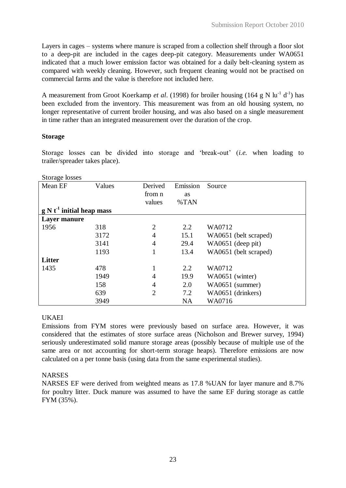Layers in cages – systems where manure is scraped from a collection shelf through a floor slot to a deep-pit are included in the cages deep-pit category. Measurements under WA0651 indicated that a much lower emission factor was obtained for a daily belt-cleaning system as compared with weekly cleaning. However, such frequent cleaning would not be practised on commercial farms and the value is therefore not included here.

A measurement from Groot Koerkamp *et al.* (1998) for broiler housing (164 g N lu<sup>-1</sup> d<sup>-1</sup>) has been excluded from the inventory. This measurement was from an old housing system, no longer representative of current broiler housing, and was also based on a single measurement in time rather than an integrated measurement over the duration of the crop.

## **Storage**

Storage losses can be divided into storage and 'break-out' (*i.e.* when loading to trailer/spreader takes place).

| Storage losses              |        |                |           |                       |
|-----------------------------|--------|----------------|-----------|-----------------------|
| Mean EF                     | Values | Derived        | Emission  | Source                |
|                             |        | from n         | as        |                       |
|                             |        | values         | %TAN      |                       |
| $g N t-1$ initial heap mass |        |                |           |                       |
| Layer manure                |        |                |           |                       |
| 1956                        | 318    | $\overline{2}$ | 2.2       | WA0712                |
|                             | 3172   | 4              | 15.1      | WA0651 (belt scraped) |
|                             | 3141   | $\overline{4}$ | 29.4      | WA0651 (deep pit)     |
|                             | 1193   |                | 13.4      | WA0651 (belt scraped) |
| <b>Litter</b>               |        |                |           |                       |
| 1435                        | 478    | 1              | 2.2       | WA0712                |
|                             | 1949   | 4              | 19.9      | WA0651 (winter)       |
|                             | 158    | 4              | 2.0       | WA0651 (summer)       |
|                             | 639    | $\overline{2}$ | 7.2       | WA0651 (drinkers)     |
|                             | 3949   |                | <b>NA</b> | WA0716                |
|                             |        |                |           |                       |

 $S<sub>tora</sub>$  losses

## UKAEI

Emissions from FYM stores were previously based on surface area. However, it was considered that the estimates of store surface areas (Nicholson and Brewer survey, 1994) seriously underestimated solid manure storage areas (possibly because of multiple use of the same area or not accounting for short-term storage heaps). Therefore emissions are now calculated on a per tonne basis (using data from the same experimental studies).

#### NARSES

NARSES EF were derived from weighted means as 17.8 %UAN for layer manure and 8.7% for poultry litter. Duck manure was assumed to have the same EF during storage as cattle FYM (35%).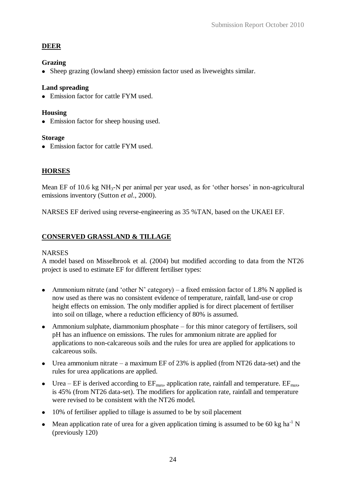# **DEER**

## **Grazing**

• Sheep grazing (lowland sheep) emission factor used as liveweights similar.

# **Land spreading**

• Emission factor for cattle FYM used.

## **Housing**

• Emission factor for sheep housing used.

## **Storage**

• Emission factor for cattle FYM used.

# **HORSES**

Mean EF of 10.6 kg NH<sub>3</sub>-N per animal per year used, as for 'other horses' in non-agricultural emissions inventory (Sutton *et al*., 2000).

NARSES EF derived using reverse-engineering as 35 %TAN, based on the UKAEI EF.

# **CONSERVED GRASSLAND & TILLAGE**

## **NARSES**

A model based on Misselbrook et al. (2004) but modified according to data from the NT26 project is used to estimate EF for different fertiliser types:

- Ammonium nitrate (and 'other N' category) a fixed emission factor of 1.8% N applied is now used as there was no consistent evidence of temperature, rainfall, land-use or crop height effects on emission. The only modifier applied is for direct placement of fertiliser into soil on tillage, where a reduction efficiency of 80% is assumed.
- Ammonium sulphate, diammonium phosphate for this minor category of fertilisers, soil pH has an influence on emissions. The rules for ammonium nitrate are applied for applications to non-calcareous soils and the rules for urea are applied for applications to calcareous soils.
- Urea ammonium nitrate a maximum EF of 23% is applied (from NT26 data-set) and the rules for urea applications are applied.
- Urea EF is derived according to  $EF_{\text{max}}$ , application rate, rainfall and temperature.  $EF_{\text{max}}$ , is 45% (from NT26 data-set). The modifiers for application rate, rainfall and temperature were revised to be consistent with the NT26 model.
- 10% of fertiliser applied to tillage is assumed to be by soil placement
- Mean application rate of urea for a given application timing is assumed to be 60 kg ha<sup>-1</sup> N (previously 120)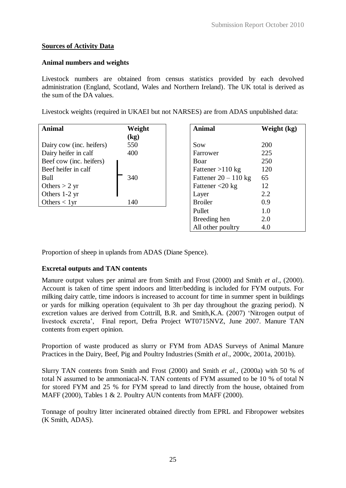## **Sources of Activity Data**

## **Animal numbers and weights**

Livestock numbers are obtained from census statistics provided by each devolved administration (England, Scotland, Wales and Northern Ireland). The UK total is derived as the sum of the DA values.

Livestock weights (required in UKAEI but not NARSES) are from ADAS unpublished data:

| <b>Animal</b>            | Weight                   | <b>Animal</b>                    | We  |
|--------------------------|--------------------------|----------------------------------|-----|
|                          | $\left(\text{kg}\right)$ |                                  |     |
| Dairy cow (inc. heifers) | 550                      | Sow                              | 200 |
| Dairy heifer in calf     | 400                      | Farrower                         | 225 |
| Beef cow (inc. heifers)  |                          | Boar                             | 250 |
| Beef heifer in calf      |                          | Fattener $>110$ kg               | 120 |
| Bull                     | 340                      | Fattener $20 - 110$ kg           | 65  |
| Others $> 2$ yr          |                          | Fattener $\langle 20 \text{ kg}$ | 12  |
| Others 1-2 yr            |                          | Layer                            | 2.2 |
| Others $< 1$ yr          | 140                      | <b>Broiler</b>                   | 0.9 |
|                          |                          | Pullet                           | 1.0 |

| Animal                 | Weight (kg) |
|------------------------|-------------|
| Sow                    | 200         |
| Farrower               | 225         |
| Boar                   | 250         |
| Fattener $>110$ kg     | 120         |
| Fattener $20 - 110$ kg | 65          |
| Fattener $<$ 20 kg     | 12          |
| Layer                  | 2.2.        |
| <b>Broiler</b>         | 0.9         |
| Pullet                 | 1.0         |
| Breeding hen           | 2.0         |
| All other poultry      | 4.0         |

Proportion of sheep in uplands from ADAS (Diane Spence).

## **Excretal outputs and TAN contents**

Manure output values per animal are from Smith and Frost (2000) and Smith *et al*., (2000). Account is taken of time spent indoors and litter/bedding is included for FYM outputs. For milking dairy cattle, time indoors is increased to account for time in summer spent in buildings or yards for milking operation (equivalent to 3h per day throughout the grazing period). N excretion values are derived from Cottrill, B.R. and Smith,K.A. (2007) 'Nitrogen output of livestock excreta', Final report, Defra Project WT0715NVZ, June 2007. Manure TAN contents from expert opinion.

Proportion of waste produced as slurry or FYM from ADAS Surveys of Animal Manure Practices in the Dairy, Beef, Pig and Poultry Industries (Smith *et al*., 2000c, 2001a, 2001b).

Slurry TAN contents from Smith and Frost (2000) and Smith *et al*., (2000a) with 50 % of total N assumed to be ammoniacal-N. TAN contents of FYM assumed to be 10 % of total N for stored FYM and 25 % for FYM spread to land directly from the house, obtained from MAFF (2000), Tables 1 & 2. Poultry AUN contents from MAFF (2000).

Tonnage of poultry litter incinerated obtained directly from EPRL and Fibropower websites (K Smith, ADAS).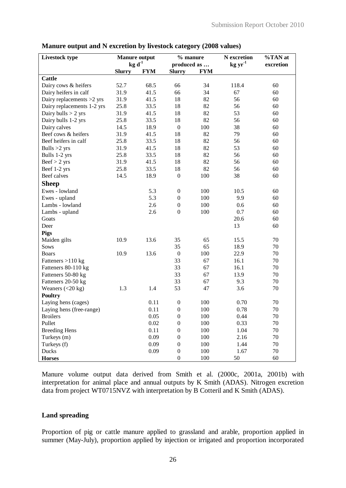| Livestock type             | <b>Manure output</b> |            | % manure         |            | N excretion     | %TAN at   |
|----------------------------|----------------------|------------|------------------|------------|-----------------|-----------|
|                            | $kg d-1$             |            | produced as      |            | $kg \, yr^{-1}$ | excretion |
|                            | <b>Slurry</b>        | <b>FYM</b> | <b>Slurry</b>    | <b>FYM</b> |                 |           |
| <b>Cattle</b>              |                      |            |                  |            |                 |           |
| Dairy cows & heifers       | 52.7                 | 68.5       | 66               | 34         | 118.4           | 60        |
| Dairy heifers in calf      | 31.9                 | 41.5       | 66               | 34         | 67              | 60        |
| Dairy replacements >2 yrs  | 31.9                 | 41.5       | 18               | 82         | 56              | 60        |
| Dairy replacements 1-2 yrs | 25.8                 | 33.5       | 18               | 82         | 56              | 60        |
| Dairy bulls $> 2$ yrs      | 31.9                 | 41.5       | 18               | 82         | 53              | 60        |
| Dairy bulls 1-2 yrs        | 25.8                 | 33.5       | 18               | 82         | 56              | 60        |
| Dairy calves               | 14.5                 | 18.9       | $\boldsymbol{0}$ | 100        | 38              | 60        |
| Beef cows & heifers        | 31.9                 | 41.5       | 18               | 82         | 79              | 60        |
| Beef heifers in calf       | 25.8                 | 33.5       | 18               | 82         | 56              | 60        |
| Bulls $>2$ yrs             | 31.9                 | 41.5       | 18               | 82         | 53              | 60        |
| Bulls 1-2 yrs              | 25.8                 | 33.5       | 18               | 82         | 56              | 60        |
| $Beef > 2$ yrs             | 31.9                 | 41.5       | 18               | 82         | 56              | 60        |
| Beef 1-2 yrs               | 25.8                 | 33.5       | 18               | 82         | 56              | 60        |
| Beef calves                | 14.5                 | 18.9       | $\boldsymbol{0}$ | 100        | 38              | 60        |
| <b>Sheep</b>               |                      |            |                  |            |                 |           |
| Ewes - lowland             |                      | 5.3        | $\boldsymbol{0}$ | 100        | 10.5            | 60        |
| Ewes - upland              |                      | 5.3        | $\boldsymbol{0}$ | 100        | 9.9             | 60        |
| Lambs - lowland            |                      | 2.6        | $\boldsymbol{0}$ | 100        | 0.6             | 60        |
| Lambs - upland             |                      | 2.6        | $\boldsymbol{0}$ | 100        | 0.7             | 60        |
| Goats                      |                      |            |                  |            | 20.6            | 60        |
| Deer                       |                      |            |                  |            | 13              | 60        |
| <b>Pigs</b>                |                      |            |                  |            |                 |           |
| Maiden gilts               | 10.9                 | 13.6       | 35               | 65         | 15.5            | 70        |
| Sows                       |                      |            | 35               | 65         | 18.9            | 70        |
| <b>Boars</b>               | 10.9                 | 13.6       | $\boldsymbol{0}$ | 100        | 22.9            | 70        |
| Fatteners $>110$ kg        |                      |            | 33               | 67         | 16.1            | 70        |
| Fatteners 80-110 kg        |                      |            | 33               | 67         | 16.1            | 70        |
| Fatteners 50-80 kg         |                      |            | 33               | 67         | 13.9            | 70        |
| Fatteners 20-50 kg         |                      |            | 33               | 67         | 9.3             | 70        |
| Weaners $(<20 kg)$         | 1.3                  | 1.4        | 53               | 47         | 3.6             | 70        |
| <b>Poultry</b>             |                      |            |                  |            |                 |           |
| Laying hens (cages)        |                      | 0.11       | $\boldsymbol{0}$ | 100        | 0.70            | 70        |
| Laying hens (free-range)   |                      | 0.11       | $\boldsymbol{0}$ | 100        | 0.78            | $70\,$    |
| <b>Broilers</b>            |                      | 0.05       | $\boldsymbol{0}$ | 100        | 0.44            | 70        |
| Pullet                     |                      | 0.02       | $\boldsymbol{0}$ | 100        | 0.33            | 70        |
| <b>Breeding Hens</b>       |                      | 0.11       | $\boldsymbol{0}$ | 100        | 1.04            | 70        |
| Turkeys (m)                |                      | 0.09       | $\mathbf{0}$     | 100        | 2.16            | 70        |
| Turkeys (f)                |                      | 0.09       | $\boldsymbol{0}$ | 100        | 1.44            | 70        |
| Ducks                      |                      | 0.09       | $\boldsymbol{0}$ | 100        | 1.67            | 70        |
| <b>Horses</b>              |                      |            | $\boldsymbol{0}$ | 100        | 50              | 60        |

#### **Manure output and N excretion by livestock category (2008 values)**

Manure volume output data derived from Smith et al. (2000c, 2001a, 2001b) with interpretation for animal place and annual outputs by K Smith (ADAS). Nitrogen excretion data from project WT0715NVZ with interpretation by B Cotteril and K Smith (ADAS).

## **Land spreading**

Proportion of pig or cattle manure applied to grassland and arable, proportion applied in summer (May-July), proportion applied by injection or irrigated and proportion incorporated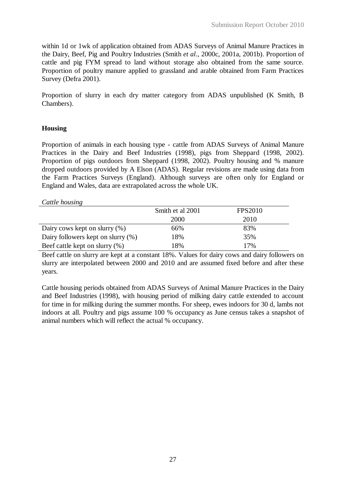within 1d or 1wk of application obtained from ADAS Surveys of Animal Manure Practices in the Dairy, Beef, Pig and Poultry Industries (Smith *et al*., 2000c, 2001a, 2001b). Proportion of cattle and pig FYM spread to land without storage also obtained from the same source. Proportion of poultry manure applied to grassland and arable obtained from Farm Practices Survey (Defra 2001).

Proportion of slurry in each dry matter category from ADAS unpublished (K Smith, B Chambers).

## **Housing**

Proportion of animals in each housing type - cattle from ADAS Surveys of Animal Manure Practices in the Dairy and Beef Industries (1998), pigs from Sheppard (1998, 2002). Proportion of pigs outdoors from Sheppard (1998, 2002). Poultry housing and % manure dropped outdoors provided by A Elson (ADAS). Regular revisions are made using data from the Farm Practices Surveys (England). Although surveys are often only for England or England and Wales, data are extrapolated across the whole UK.

*Cattle housing*

|                                       | Smith et al 2001 | <b>FPS2010</b> |
|---------------------------------------|------------------|----------------|
|                                       | 2000             | 2010           |
| Dairy cows kept on slurry $(\%)$      | 66%              | 83%            |
| Dairy followers kept on slurry $(\%)$ | 18%              | 35%            |
| Beef cattle kept on slurry (%)        | 18%              | 17%            |

Beef cattle on slurry are kept at a constant 18%. Values for dairy cows and dairy followers on slurry are interpolated between 2000 and 2010 and are assumed fixed before and after these years.

Cattle housing periods obtained from ADAS Surveys of Animal Manure Practices in the Dairy and Beef Industries (1998), with housing period of milking dairy cattle extended to account for time in for milking during the summer months. For sheep, ewes indoors for 30 d, lambs not indoors at all. Poultry and pigs assume 100 % occupancy as June census takes a snapshot of animal numbers which will reflect the actual % occupancy.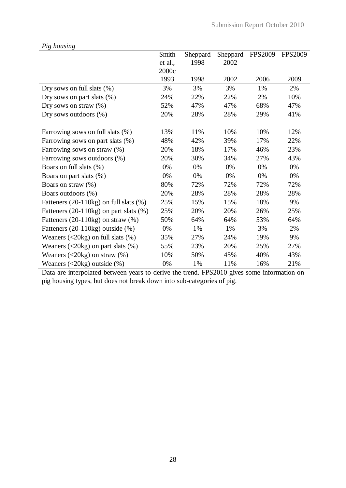|                                                                            | Smith   | Sheppard | Sheppard | <b>FPS2009</b> | <b>FPS2009</b> |
|----------------------------------------------------------------------------|---------|----------|----------|----------------|----------------|
|                                                                            | et al., | 1998     | 2002     |                |                |
|                                                                            | 2000c   |          |          |                |                |
|                                                                            | 1993    | 1998     | 2002     | 2006           | 2009           |
| Dry sows on full slats (%)                                                 | 3%      | 3%       | 3%       | 1%             | 2%             |
| Dry sows on part slats $(\%)$                                              | 24%     | 22%      | 22%      | 2%             | 10%            |
| Dry sows on straw $(\%)$                                                   | 52%     | 47%      | 47%      | 68%            | 47%            |
| Dry sows outdoors (%)                                                      | 20%     | 28%      | 28%      | 29%            | 41%            |
| Farrowing sows on full slats (%)                                           | 13%     | 11%      | 10%      | 10%            | 12%            |
| Farrowing sows on part slats (%)                                           | 48%     | 42%      | 39%      | 17%            | 22%            |
| Farrowing sows on straw (%)                                                | 20%     | 18%      | 17%      | 46%            | 23%            |
| Farrowing sows outdoors (%)                                                | 20%     | 30%      | 34%      | 27%            | 43%            |
| Boars on full slats (%)                                                    | 0%      | 0%       | 0%       | 0%             | 0%             |
| Boars on part slats (%)                                                    | 0%      | 0%       | 0%       | 0%             | 0%             |
| Boars on straw (%)                                                         | 80%     | 72%      | 72%      | 72%            | 72%            |
| Boars outdoors (%)                                                         | 20%     | 28%      | 28%      | 28%            | 28%            |
| Fatteners (20-110kg) on full slats (%)                                     | 25%     | 15%      | 15%      | 18%            | 9%             |
| Fatteners $(20-110\text{kg})$ on part slats $(\%)$                         | 25%     | 20%      | 20%      | 26%            | 25%            |
| Fatteners $(20-110\text{kg})$ on straw $(\%)$                              | 50%     | 64%      | 64%      | 53%            | 64%            |
| Fatteners $(20-110\text{kg})$ outside $(\%)$                               | 0%      | 1%       | 1%       | 3%             | 2%             |
| Weaners $(\leq 20 \text{kg})$ on full slats $(\%)$                         | 35%     | 27%      | 24%      | 19%            | 9%             |
| Weaners $(\leq 20 \text{kg})$ on part slats $(\%)$                         | 55%     | 23%      | 20%      | 25%            | 27%            |
| Weaners $\left( \langle 20kg \rangle \right)$ on straw $\left( \% \right)$ | 10%     | 50%      | 45%      | 40%            | 43%            |
| Weaners $\left( \langle 20kg \rangle \right)$ outside $\left( \% \right)$  | 0%      | 1%       | 11%      | 16%            | 21%            |

*Pig housing*

Data are interpolated between years to derive the trend. FPS2010 gives some information on pig housing types, but does not break down into sub-categories of pig.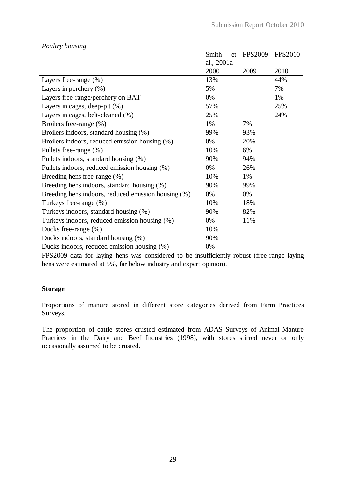|                                                     | Smith<br>et | <b>FPS2009</b> | <b>FPS2010</b> |
|-----------------------------------------------------|-------------|----------------|----------------|
|                                                     | al., 2001a  |                |                |
|                                                     | 2000        | 2009           | 2010           |
| Layers free-range (%)                               | 13%         |                | 44%            |
| Layers in perchery $(\%)$                           | 5%          |                | 7%             |
| Layers free-range/perchery on BAT                   | 0%          |                | 1%             |
| Layers in cages, deep-pit $(\%)$                    | 57%         |                | 25%            |
| Layers in cages, belt-cleaned (%)                   | 25%         |                | 24%            |
| Broilers free-range (%)                             | 1%          | 7%             |                |
| Broilers indoors, standard housing (%)              | 99%         | 93%            |                |
| Broilers indoors, reduced emission housing (%)      | 0%          | 20%            |                |
| Pullets free-range (%)                              | 10%         | 6%             |                |
| Pullets indoors, standard housing (%)               | 90%         | 94%            |                |
| Pullets indoors, reduced emission housing (%)       | 0%          | 26%            |                |
| Breeding hens free-range (%)                        | 10%         | 1%             |                |
| Breeding hens indoors, standard housing (%)         | 90%         | 99%            |                |
| Breeding hens indoors, reduced emission housing (%) | 0%          | 0%             |                |
| Turkeys free-range (%)                              | 10%         | 18%            |                |
| Turkeys indoors, standard housing (%)               | 90%         | 82%            |                |
| Turkeys indoors, reduced emission housing (%)       | 0%          | 11%            |                |
| Ducks free-range (%)                                | 10%         |                |                |
| Ducks indoors, standard housing (%)                 | 90%         |                |                |
| Ducks indoors, reduced emission housing (%)         | 0%          |                |                |

*Poultry housing*

FPS2009 data for laying hens was considered to be insufficiently robust (free-range laying hens were estimated at 5%, far below industry and expert opinion).

### **Storage**

Proportions of manure stored in different store categories derived from Farm Practices Surveys.

The proportion of cattle stores crusted estimated from ADAS Surveys of Animal Manure Practices in the Dairy and Beef Industries (1998), with stores stirred never or only occasionally assumed to be crusted.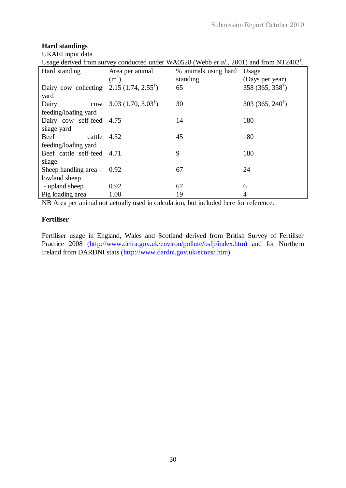# **Hard standings**

UKAEI input data

Usage derived from survey conducted under WA0528 (Webb *et al*., 2001) and from NT2402† .

| Hard standing                                     | Area per animal                   | % animals using hard | Usage                        |
|---------------------------------------------------|-----------------------------------|----------------------|------------------------------|
|                                                   | $(m^2)$                           | standing             | (Days per year)              |
| Dairy cow collecting $2.15(1.74, 2.55^{\dagger})$ |                                   | 65                   | $358(365, 358^{\dagger})$    |
| yard                                              |                                   |                      |                              |
| Dairy                                             | cow 3.03 $(1.70, 3.03^{\dagger})$ | 30                   | 303 (365, 240 <sup>†</sup> ) |
| feeding/loafing yard                              |                                   |                      |                              |
| Dairy cow self-feed 4.75                          |                                   | 14                   | 180                          |
| silage yard                                       |                                   |                      |                              |
| Beef<br>cattle                                    | 4.32                              | 45                   | 180                          |
| feeding/loafing yard                              |                                   |                      |                              |
| Beef cattle self-feed 4.71                        |                                   | 9                    | 180                          |
| silage                                            |                                   |                      |                              |
| Sheep handling area $-$ 0.92                      |                                   | 67                   | 24                           |
| lowland sheep                                     |                                   |                      |                              |
| - upland sheep                                    | 0.92                              | 67                   | 6                            |
| Pig loading area                                  | 1.00                              | 19                   | 4                            |

NB Area per animal not actually used in calculation, but included here for reference.

# **Fertiliser**

Fertiliser usage in England, Wales and Scotland derived from British Survey of Fertiliser Practice 2008 (http://www.defra.gov.uk/environ/pollute/bsfp/index.htm) and for Northern Ireland from DARDNI stats (http://www.dardni.gov.uk/econs/.htm).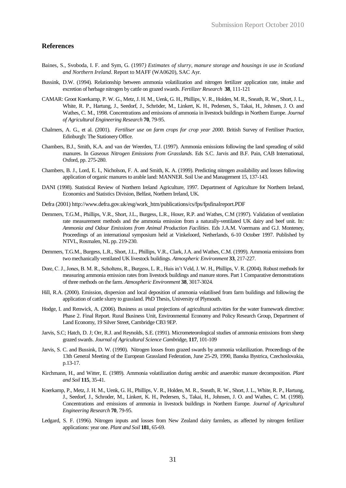#### **References**

- Baines, S., Svoboda, I. F. and Sym, G. (1997*) Estimates of slurry, manure storage and housings in use in Scotland and Northern Ireland*. Report to MAFF (WA0620), SAC Ayr.
- Bussink, D.W. (1994). Relationship between ammonia volatilization and nitrogen fertilizer application rate, intake and excretion of herbage nitrogen by cattle on grazed swards. *Fertilizer Research* **38**, 111-121
- CAMAR: Groot Koerkamp, P. W. G., Metz, J. H. M., Uenk, G. H., Phillips, V. R., Holden, M. R., Sneath, R. W., Short, J. L., White, R. P., Hartung, J., Seedorf, J., Schröder, M., Linkert, K. H., Pedersen, S., Takai, H., Johnsen, J. O. and Wathes, C. M., 1998. Concentrations and emissions of ammonia in livestock buildings in Northern Europe. *Journal of Agricultural Engineering Research* **70**, 79-95.
- Chalmers, A. G., et al. (2001)*. Fertiliser use on farm crops for crop year 2000*. British Survey of Fertiliser Practice, Edinburgh: The Stationery Office.
- Chambers, B.J., Smith, K.A. and van der Weerden, T.J. (1997). Ammonia emissions following the land spreading of solid manures. In *Gaseous Nitrogen Emissions from Grasslands*. Eds S.C. Jarvis and B.F. Pain, CAB International, Oxford, pp. 275-280.
- Chambers, B. J., Lord, E. I., Nicholson, F. A. and Smith, K. A. (1999). Predicting nitrogen availability and losses following application of organic manures to arable land: MANNER. Soil Use and Management 15, 137-143.
- DANI (1998). Statistical Review of Northern Ireland Agriculture, 1997. Department of Agriculture for Northern Ireland, Economics and Statistics Division, Belfast, Northern Ireland, UK.
- Defra (2001) http://www.defra.gov.uk/esg/work\_htm/publications/cs/fps/fpsfinalreport.PDF
- Demmers, T.G.M., Phillips, V.R., Short, J.L., Burgess, L.R., Hoxer, R.P. and Wathes, C.M (1997). Validation of ventilation rate measurement methods and the ammonia emission from a naturally-ventilated UK dairy and beef unit. In*: Ammonia and Odour Emissions from Animal Production Facilities*. Eds J.A.M. Voermans and G.J. Monteney, Proceedings of an international symposium held at Vinkeloord, Netherlands, 6-10 October 1997. Published by NTVL, Rosmalen, NL pp. 219-230.
- Demmers, T.G.M., Burgess, L.R., Short, J.L., Phillips, V.R., Clark, J.A. and Wathes, C.M. (1999). Ammonia emissions from two mechanically ventilated UK livestock buildings. *Atmospheric Environment* **33**, 217-227.
- Dore, C. J., Jones, B. M. R., Scholtens, R., Burgess, L. R., Huis in't Veld, J. W. H., Phillips, V. R. (2004). Robust methods for measuring ammonia emission rates from livestock buildings and manure stores. Part 1 Comparative demonstrations of three methods on the farm. *Atmospheric Environment* **38**, 3017-3024.
- Hill, R.A. (2000). Emission, dispersion and local deposition of ammonia volatilised from farm buildings and following the application of cattle slurry to grassland. PhD Thesis, University of Plymouth.
- Hodge, I. and Renwick, A. (2006). Business as usual projections of agricultural activities for the water framework directive: Phase 2. Final Report. Rural Business Unit, Environmental Economy and Policy Research Group, Department of Land Economy, 19 Silver Street, Cambridge CB3 9EP.
- Jarvis, S.C; Hatch, D. J; Orr, R.J. and Reynolds, S.E. (1991). Micrometeorological studies of ammonia emissions from sheep grazed swards. *Journal of Agricultural Science Camb*ridge, **117**, 101-109
- Jarvis, S. C. and Bussink, D. W. (1990). Nitrogen losses from grazed swards by ammonia volatilization. Proceedings of the 13th General Meeting of the European Grassland Federation, June 25-29, 1990, Banska Bystrica, Czechoslovakia, p.13-17.
- Kirchmann, H., and Witter, E. (1989). Ammonia volatilization during aerobic and anaerobic manure decomposition. *Plant and Soil* **115**, 35-41.
- Koerkamp, P., Metz, J. H. M., Uenk, G. H., Phillips, V. R., Holden, M. R., Sneath, R. W., Short, J. L., White, R. P., Hartung, J., Seedorf, J., Schroder, M., Linkert, K. H., Pedersen, S., Takai, H., Johnsen, J. O. and Wathes, C. M. (1998). Concentrations and emissions of ammonia in livestock buildings in Northern Europe. *Journal of Agricultural Engineering Research* **70**, 79-95.
- Ledgard, S. F. (1996). Nitrogen inputs and losses from New Zealand dairy farmlets, as affected by nitrogen fertilizer applications: year one. *Plant and Soil* **181**, 65-69.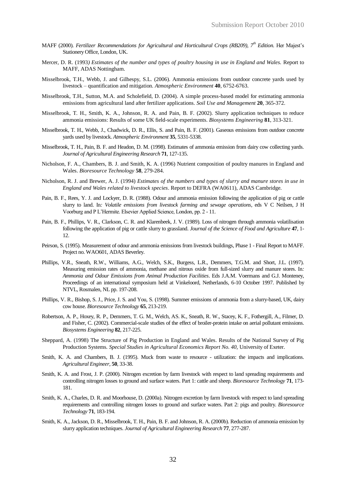- MAFF (2000). *Fertilizer Recommendations for Agricultural and Horticultural Crops (RB209), 7th Edition.* Her Majest's Stationery Office, London, UK.
- Mercer, D. R. (1993*) Estimates of the number and types of poultry housing in use in England and Wales.* Report to MAFF, ADAS Nottingham.
- Misselbrook, T.H., Webb, J. and Gilhespy, S.L. (2006). Ammonia emissions from outdoor concrete yards used by livestock – quantification and mitigation. *Atmospheric Environment* **40**, 6752-6763.
- Misselbrook, T.H., Sutton, M.A. and Scholefield, D. (2004). A simple process-based model for estimating ammonia emissions from agricultural land after fertilizer applications. *Soil Use and Management* **20**, 365-372.
- Misselbrook, T. H., Smith, K. A., Johnson, R. A. and Pain, B. F. (2002). Slurry application techniques to reduce ammonia emissions: Results of some UK field-scale experiments. *Biosystems Engineering* **81**, 313-321.
- Misselbrook, T. H., Webb, J., Chadwick, D. R., Ellis, S. and Pain, B. F. (2001). Gaseous emissions from outdoor concrete yards used by livestock. *Atmospheric Environment* **35**, 5331-5338.
- Misselbrook, T. H., Pain, B. F. and Headon, D. M. (1998). Estimates of ammonia emission from dairy cow collecting yards. *Journal of Agricultural Engineering Research* **71**, 127-135.
- Nicholson, F. A., Chambers, B. J. and Smith, K. A. (1996) Nutrient composition of poultry manures in England and Wales. *Bioresource Technology* **58**, 279-284.
- Nicholson, R. J. and Brewer, A. J. (1994) *Estimates of the numbers and types of slurry and manure stores in use in England and Wales related to livestock species*. Report to DEFRA (WA0611), ADAS Cambridge.
- Pain, B. F., Rees, Y. J. and Lockyer, D. R. (1988). Odour and ammonia emission following the application of pig or cattle slurry to land. In*: Volatile emissions from livestock farming and sewage operations*, eds V C Neilsen, J H Voorburg and P L'Hermite. Elsevier Applied Science, London, pp. 2 - 11.
- Pain, B. F., Phillips, V. R., Clarkson, C. R. and Klarenbeek, J. V. (1989). Loss of nitrogen through ammonia volatilisation following the application of pig or cattle slurry to grassland. *Journal of the Science of Food and Agriculture* **47**, 1- 12.
- Peirson, S. (1995). Measurement of odour and ammonia emissions from livestock buildings, Phase 1 Final Report to MAFF. Project no. WAO601, ADAS Beverley.
- Phillips, V.R., Sneath, R.W., Williams, A.G., Welch, S.K., Burgess, L.R., Demmers, T.G.M. and Short, J.L. (1997). Measuring emission rates of ammonia, methane and nitrous oxide from full-sized slurry and manure stores. In*: Ammonia and Odour Emissions from Animal Production Facilities*. Eds J.A.M. Voermans and G.J. Monteney, Proceedings of an international symposium held at Vinkeloord, Netherlands, 6-10 October 1997. Published by NTVL, Rosmalen, NL pp. 197-208.
- Phillips, V. R., Bishop, S. J., Price, J. S. and You, S. (1998). Summer emissions of ammonia from a slurry-based, UK, dairy cow house. *Bioresource Technology* **65**, 213-219.
- Robertson, A. P., Hoxey, R. P., Demmers, T. G. M., Welch, AS. K., Sneath, R. W., Stacey, K. F., Fothergill, A., Filmer, D. and Fisher, C. (2002). Commercial-scale studies of the effect of broiler-protein intake on aerial pollutant emissions. *Biosystems Engineering* **82**, 217-225.
- Sheppard, A. (1998) The Structure of Pig Production in England and Wales. Results of the National Survey of Pig Production Systems*. Special Studies in Agricultural Economics Report No. 40,* University of Exeter.
- Smith, K. A. and Chambers, B. J. (1995). Muck from waste to resource utilization: the impacts and implications. *Agricultural Engineer*, **50**, 33-38.
- Smith, K. A. and Frost, J. P. (2000). Nitrogen excretion by farm livestock with respect to land spreading requirements and controlling nitrogen losses to ground and surface waters. Part 1: cattle and sheep. *Bioresource Technology* **71**, 173- 181.
- Smith, K. A., Charles, D. R. and Moorhouse, D. (2000a). Nitrogen excretion by farm livestock with respect to land spreading requirements and controlling nitrogen losses to ground and surface waters. Part 2: pigs and poultry. *Bioresource Technology* **71**, 183-194.
- Smith, K. A., Jackson, D. R., Misselbrook, T. H., Pain, B. F. and Johnson, R. A. (2000b). Reduction of ammonia emission by slurry application techniques. *Journal of Agricultural Engineering Research* **77**, 277-287.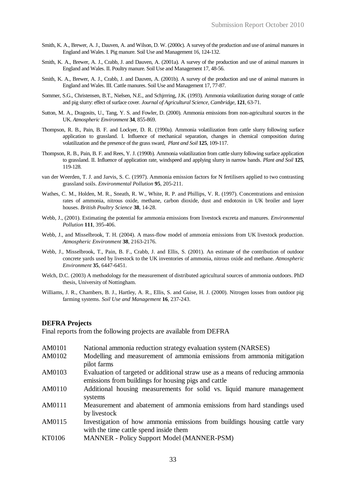- Smith, K. A., Brewer, A. J., Dauven, A. and Wilson, D. W. (2000c). A survey of the production and use of animal manures in England and Wales. I. Pig manure. Soil Use and Management 16, 124-132.
- Smith, K. A., Brewer, A. J., Crabb, J. and Dauven, A. (2001a). A survey of the production and use of animal manures in England and Wales. II. Poultry manure. Soil Use and Management 17, 48-56.
- Smith, K. A., Brewer, A. J., Crabb, J. and Dauven, A. (2001b). A survey of the production and use of animal manures in England and Wales. III. Cattle manures. Soil Use and Management 17, 77-87.
- Sommer, S.G., Christensen, B.T., Nielsen, N.E., and Schjrrring, J.K. (1993). Ammonia volatilization during storage of cattle and pig slurry: effect of surface cover. *Journal of Agricultural Science, Cambridge*, **121**, 63-71.
- Sutton, M. A., Dragosits, U., Tang, Y. S. and Fowler, D. (2000). Ammonia emissions from non-agricultural sources in the UK. *Atmospheric Environment* **34**, 855-869.
- Thompson, R. B., Pain, B. F. and Lockyer, D. R. (1990a). Ammonia volatilization from cattle slurry following surface application to grassland. I. Influence of mechanical separation, changes in chemical composition during volatilization and the presence of the grass sward, *Plant and Soil* **125**, 109-117.
- Thompson, R. B., Pain, B. F. and Rees, Y. J. (1990b). Ammonia volatilization from cattle slurry following surface application to grassland. II. Influence of application rate, windspeed and applying slurry in narrow bands. *Plant and Soil* **125**, 119-128.
- van der Weerden, T. J. and Jarvis, S. C. (1997). Ammonia emission factors for N fertilisers applied to two contrasting grassland soils. *Environmental Pollution* **95**, 205-211.
- Wathes, C. M., Holden, M. R., Sneath, R. W., White, R. P. and Phillips, V. R. (1997). Concentrations and emission rates of ammonia, nitrous oxide, methane, carbon dioxide, dust and endotoxin in UK broiler and layer houses. *British Poultry Science* **38**, 14-28.
- Webb, J., (2001). Estimating the potential for ammonia emissions from livestock excreta and manures. *Environmental Pollution* **111**, 395-406.
- Webb, J., and Misselbrook, T. H. (2004). A mass-flow model of ammonia emissions from UK livestock production. *Atmospheric Environment* **38**, 2163-2176.
- Webb, J., Misselbrook, T., Pain, B. F., Crabb, J. and Ellis, S. (2001). An estimate of the contribution of outdoor concrete yards used by livestock to the UK inventories of ammonia, nitrous oxide and methane. *Atmospheric Environment* **35**, 6447-6451.
- Welch, D.C. (2003) A methodology for the measurement of distributed agricultural sources of ammonia outdoors. PhD thesis, University of Nottingham.
- Williams, J. R., Chambers, B. J., Hartley, A. R., Ellis, S. and Guise, H. J. (2000). Nitrogen losses from outdoor pig farming systems. *Soil Use and Management* **16**, 237-243.

#### **DEFRA Projects**

Final reports from the following projects are available from DEFRA

- AM0101 National ammonia reduction strategy evaluation system (NARSES)
- AM0102 Modelling and measurement of ammonia emissions from ammonia mitigation pilot farms
- AM0103 Evaluation of targeted or additional straw use as a means of reducing ammonia emissions from buildings for housing pigs and cattle
- AM0110 Additional housing measurements for solid vs. liquid manure management systems
- AM0111 Measurement and abatement of ammonia emissions from hard standings used by livestock
- AM0115 Investigation of how ammonia emissions from buildings housing cattle vary with the time cattle spend inside them
- KT0106 MANNER Policy Support Model (MANNER-PSM)